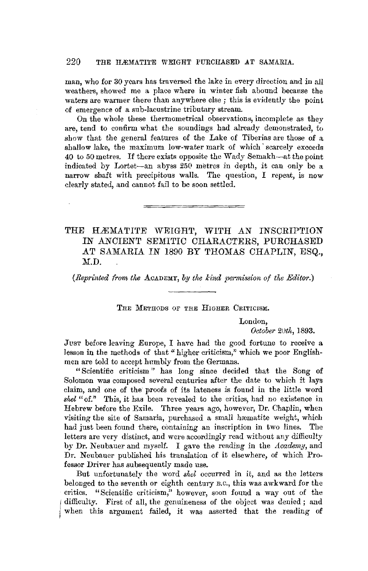man, who for 30 years has traversed the lake in every direction and in all weathers, showed me a place where in winter fish abound because the waters are warmer there than anywhere else ; this is evidently the point of emergence of a sub-lacustrine tributary stream.

On the whole these thermometrical observations, incomplete as they are, tend to confirm what the soundings had already demonstrated, to show that the general features of the Lake of Tiberias are those of a shallow lake, the maximum low-water mark of which' scarcely exceeds 40 to 50 metres. If there exists opposite the W ady Semakh-at the point indicated by Lortet-an abyss *250* metres in depth, it can only be a narrow shaft with precipitous walls. The question, I repeat, is now clearly stated, and cannot fail to be soon settled.

# THE HÆMATITE WEIGHT, WITH AN INSCRIPTION IN ANCIENT SEMITIC CHARACTERS, PURCHASED AT SAMARIA IN 1890 BY THOMAS CHAPLIN, ESQ., M.D.

*(Reprinted from the* ACADEMY, by *the* kind *permission of the Editor.)* 

### THE METHODS OF THE HIGHER CRITICISM.

London,

*October 20th,* 1893.

Just before leaving Europe, I have had the good fortune to receive a lesson in the methods of that "higher criticism," which we poor Englishmen are told to accept humbly from the Germans.

"Scientific criticism" has long since decided that the Song of Solomon was composed several centuries after the date to which it lays claim, and one of the proofs of its lateness is found in the little word *shel* "of." This, it has been revealed to the critics, had no existence in Hebrew before the Exile. Three years ago, however, Dr. Chaplin, when visiting the site of Samaria, purchased a small hæmatite weight, which had just been found there, containing an inscription in two lines. The letters are very distinct, and were accordingly read without any difficulty by Dr. Neubauer and myself. I gave the reading in the *Academy*, and Dr. Neubauer published his translation of it elsewhere, of which Professor Driver has subsequently made use.

But unfortunately the word *shel* occurred in it, and as the letters belonged to the seventh or eighth century B.c., this was awkward for the critics. "Scientific criticism," however, soon found a way out of the difficulty. First of all, the genuineness of the object was denied ; and when this argument failed, it was asserted that the reading of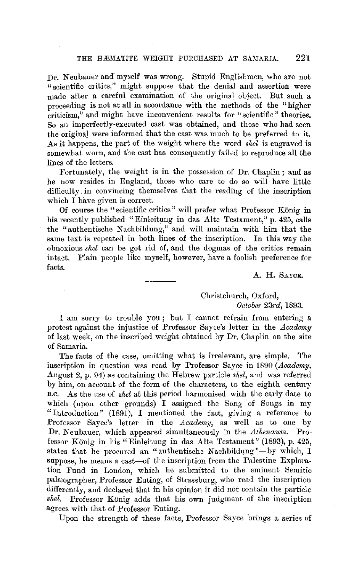Dr. Neubauer and· myself was wrong. Stupid Englishmen, who are not "scientific critics," might suppose that the denial and assertion were made after a careful examination of the original object. But such a proceeding is not at all in accordance with the methods of the "higher criticism," and might have inconvenient results for "scientific" theories. So an imperfectly-executed cast was obtained, and those who had seen the origina! were informed that the cast was much to be preferred to it. As it happens, the part of the weight where the word *shel* is engraved is somewhat worn, and the cast has consequently failed to reproduce all the lines of the letters.

Fortunately, the weight is in the possession of Dr. Chaplin; and as he now resides in England, those who care to do so will have little difficulty. in convincing themselves that the reading of the inscription which I have given is correct.

Of course the "scientific critics" will prefer what Professor Konig in his recently published "Einleitung in das Alte Testament," p. 425, calls the "authentische Nachbildung," and will maintain with him that the same text is repeated in both lines of the inscription. In this way the obnoxious *shel* can be got rid of, and the dogmas of the critics remain intact. Plain people like myself, however, have a foolish preference for facts.

A. H. SAYCE.

Christchurch, Oxford, *October* 23rd, 1893.

I am sorry to trouble you; but I cannot refrain from entering a protest against the injustice of Professor Sayce's letter in the *Academy* of last week, on the inscribed weight obtained by Dr. Chaplin on the site of Samaria.

The facts of the case, omitting what is irrelevant, are simple. The inscription in question was read by Professor Sayce in 1890 *(Academy,*  August 2, p. 94) as containing the Hebrew particle *shel*, and was referred by him, on account of the form of the characters, to the eighth century B.C. As the use of *shel* at this period harmonised with the early date to which (upon other grounds) I assigned the Song of Songs in my "Introduction" (1891), I mentioned the fact, giving a reference to Professor Sayce's letter in the *Academy,* as well as to one by Dr. Neubauer, which appeared simultaneously in the *Athenceum.* Profess0r Konig in his "Einleitung in das Alte Testament" (1893), p. 425, states that he procured an "authentische Nachbildung"-by which, I suppose, he means a cast-of the inscription from the Palestine Exploration Fund in London, which he submitted to the eminent Semitic pakeographer, Professor Euting, of Strassburg, who read the inscription differently, and declared that in his opinion it did not contain the particle shel. Professor König adds that his own judgment of the inscription agrees with that of Professor Euting.

Upon the strength of these facts, Professor Sayce brings a series of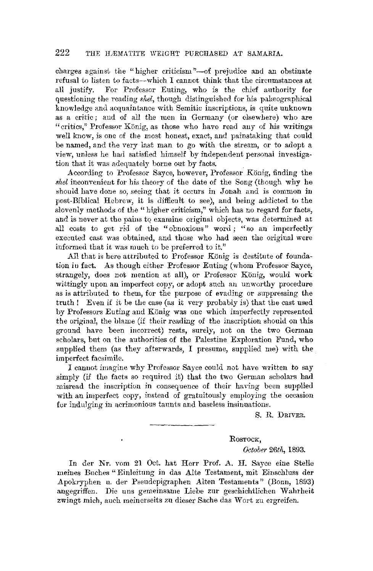# $222$  THE H $\text{EMATITE}$  WEIGHT PURCHASED AT SAMARIA.

charges against the "higher criticism"-of prejudice and an obstinate refusal to listen to facts-which I cannot think that the circumstances at all justify. For Professor Euting, who is the chief authority for questioning the reading *shel*, though distinguished for his palreographical knowledge and acquaintance with Semitic inscriptions, is quite unknown as a critic; and of all the men in Germany (or elsewhere) who are "critics," Professor König, as those who have read any of his writings well know, is one of the most honest, exact, and painstaking that could be named, and the very last man to go with the stream, or to adopt a view, unless he had satisfied himself by independent personal investigation that it was adequately borne out by facts.

According to Professor Sayce, however, Professor König, finding the *shel* inconvenient for his theory of the date of the Song (though why he should have done so, seeing that it occurs in Jonah and is common in post-Biblical Hebrew, it is difficult to see), and being addicted to the slovenly methods of the " higher criticism," which has no regard for facts, and is never at the pains to examine original objects, was determined at all costs to get rid of the "obnoxious" word ; "so an imperfectly executed cast was obtained, and those who had seen the original were informed that it was much to be preferred to it."

All that is here attributed to Professor König is destitute of foundation in fact. As though either Professor Euting (whom Professor Sayce, strangely, does not mention at all), or Professor König, would work wittingly upon an imperfect copy, or adopt such an unworthy procedure as is attributed to them, for the purpose of evading or suppressing the truth! Even if it be the case (as it very probably is) that the cast used by Professors Euting and König was one which imperfectly represented the original, the blame (if their reading of the inscription should on this ground have been incorrect) rests, surely, not on the two German scholars, but on the authorities of the Palestine Exploration Fund, who supplied them (as they afterwards, I presume, supplied me) with the imperfect facsimile.

I cannot imagine why Professor Sayce could not have written to say simply (if the facts so required it) that the two German scholars had misread the inscription in consequence of their having been supplied with an imperfect copy, instead of gratuitously employing the occasion for indulging in acrimonious taunts and baseless insinuations.

s. R. DRIVER.

RosTOCK,

*October 26th,* 1893.

In der Nr. vom 21 Oct. hat Herr Prof. A. H. Sayce eine Stelle meines Bnches "Einleitung in das Alte Testament, mit Einschluss der Apokryphen u. der Pseudepigraphen Alten Testaments" (Bonn, 1893) angegriffen. Die uns gemeinsame Liebe zur geschichtlichen Wahrheit zwingt mich, auch meinerseits zu dieser Sache das Wart zu ergreifen.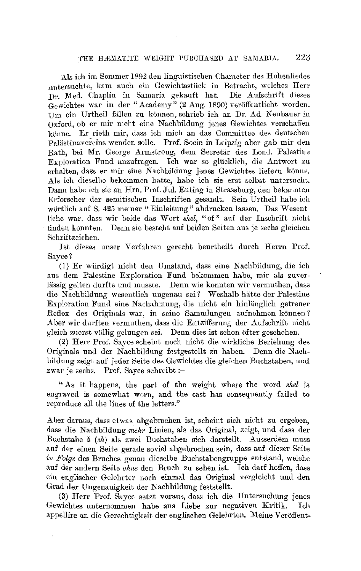Als ich im Sommer 1892 den linguistischen Character des Hohenliedes untersuchte, kam auch ein Gewichtsstück in Betracht, welches Herr<br>De Med. Chaplin in Samaria gekauft hat. Die Aufschrift dieses Dr. Med. Chaplin in Samaria gekauft hat. Gewichtes war in der "Academy" (2 Aug. 1890) veroffentlicht worden. Um ein Urtheil fallen zu konnen, schrieb ich an Dr. Ad. Neubauer in Oxford, ob er mir nicht eine Nachbildung jenes Gewichtes verschaffeu köune. Er rieth mir, dass ich mich an das Committee des deutschen Palastinavereins wenden solle. Prof. Socin in Leipzig aber gab mir den Rath, bei Mr. George Armstrong, dem Secretar des Lond. Palestine Exploration Fund anzufragen. Ich war so gliicklich, die Antwort zu erhalten, dass er mir eine Nachbildung jenes Gewichtes liefern könne. Als ich dieselbe bekommen hatte, habe ich sie erst selbst untersncht. Dann habe ich sie an Hrn. Prof. Jul. Euting in Strassburg, den bekannten Erforscher der semitischen Inschriften gesandt. Sein Urtheil habe ich wörtlich auf S. 425 meiner "Einleitung" abdrucken lassen. Das Wesent liche war, dass wir beide das Wort *shel*, "of" auf der Inschrift nicht finden konnten. Denn sie besteht auf beiden Seiten aus je sechs gleichen Schriftzeichen.

Jst dieses unser Verfahren gerecht beurtheilt durch Herrn Prof. Sayce?

(1) Er würdigt nicht den Umstand, dass eine Nachbildung, die ich aus dem Palestine Exploration Fund bekornmen habe, mir als zuverlässig gelten durfte und musste. Denn wie konnten wir vermuthen, dass die N achbildung wesentlich ungenau sei? Weshalb hatte der Palestine Exploration Fund eine Nachahmung, die nicht ein hinlänglich getreuer Reflex des Originals war, in seine Sammlungen aufnehmen können? Aber wir durften vermuthen, dass die Entzifferung der Aufschrift nicht gleich zuerst völlig gelungen sei. Denn dies ist schon öfter geschehen.

(2) Herr Prof. Sayce scheint noch nicht die wirkliche Beziehung des Origiuals und der Nachbildung fostgestellt zu haben. Denn die Nachbildung zeigt auf jeder Seite des Gewichtes die gleichen Buchstaben, und zwar je sechs. Prof. Sayce schreibt :--

" As it happens, the part of the weight where the word *shel* is engraved is somewhat worn, and the cast has consequently failed to reproduce all the lines of the letters."

Aber daraus, dass etwas abgebrachen ist, scheint sich nicht zu ergeben, dass die Nachbildung mehr Linien, als das Original, zeigt, und dass der Buchstabe š (sh) als zwei Buchstaben sich darstellt. Ausserdem muss auf der einen Seite gerade soviel abgebrochen sein, dass auf dieser Seite *in Folge* des Bruches genau dieselbe Buchstabengruppe entstand, welehe auf der andern Seite *ohne* den Bruch zu sehen ist. Ich darf hoffen, dass ein englischer Gelehrter noch einmal das Original vergleicht und den Grad der Ungenauigkeit der Nachbildung feststellt.

(3) Herr Prof. Sayce setzt voraus, dass ich die Untersuchung jenes Gewichtes unternommen habe ans Liebe zur negativen Kritik. Ich appellire an die Gerechtigkeit der englischen Gelehrten. Meine Veröffent-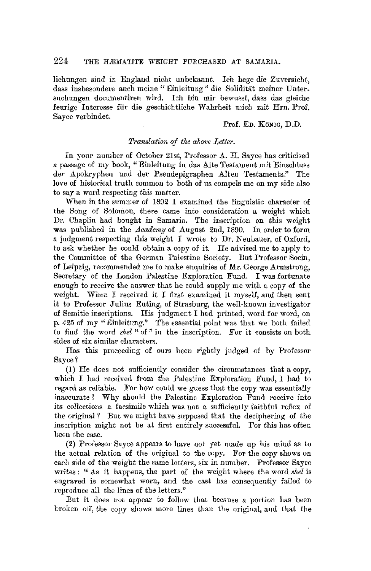lichungen sind in England nicht unbekannt. Ich hege die Zuversicht, dass insbesondere auch meine "Einleitung" die Soliditat meiner Untersuchungen documentiren wird. Ich bin mir bewusst, dass das gleiche feurige Interesse fiir die geschichtliche Wahrheit mich mit Hrn. Prof. Sayce verbindet.

### Prof. Ed. König, D.D.

#### *Translation of the above Letter.*

In your number of October 21st, Professor A. H. Sayce has criticised a passage of my book, "Einleitung in das Alte Testament mit Einschluss der .Apokryphen und der Pseudepigraphen Alten Testaments." The love of historical truth common to both of us compels me on my side also to say a word respecting this matter.

When in the summer of 1892 I examined the linguistic character of the Song of Solomon, there came into consideration a weight which Dr. Chaplin had bought in Samaria. The inscription on this weight was published in the *Academy* of August 2nd, 1890. In order to form a judgment respecting this weight I wrote to Dr. Neubauer, of Oxford, to ask whether he could obtain a copy of it. He advised me to apply to the Committee of the German Palestine Society. But Professor Socin, of Leipzig, recommended me to make enquiries of Mr. George Armstrong, Secretary of the London Palestine Exploration Fund. I was fortunate enough to receive the answer that he could supply me with a copy of the weight. When I received it I first examined it myself, and then sent it to Professor Julius Euting, of Strasburg, the well-known investigator of Semitic inscriptions. His judgment I had printed, word for word, on p. 425 of my "Einleitung." The essential point was that we both failed to find the word *shel* "of" in the inscription. For it consists on both sides of six similar characters.

Has this proceeding of ours been rightly judged of by Professor Sayce 1

(1) He does not sufficiently consider the circumstances that a copy, which I had received from the Palestine Exploration Fund, I had to regard as reliable. For how could we guess that the copy was essentially inaccurate ? Why should the Palestine Exploration Fund receive into its collections a facsimile which was not a sufficiently faithful reflex of the original ? But we might have supposed that the deciphering of the inscription might not be at first entirely successful. For this has often been the case.

(2) Professor Sayce appears to have not yet made up his mind as to the actual relation of the original to the copy. For the copy shows on each side of the weight the same letters, six in number. Professor Sayce writes: "As it happens, the part of the weight where the word *shel* is engraved is somewhat worn, and the cast has consequently failed to reproduce all the lines of the letters."

But it does not appear to follow that because a portion has been broken off, the copy shows more lines than the original, and that the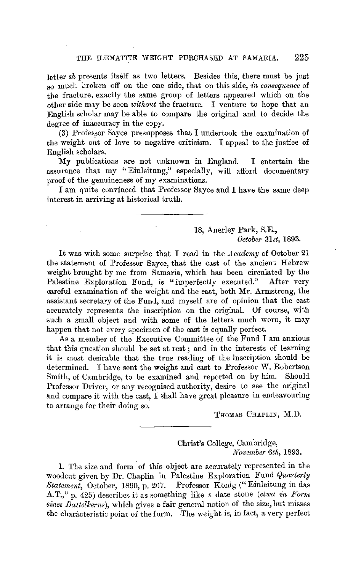Jetter *sh* presents itself as two letters. Besides this, there must be just so much Lroken off on the one side, that on this side, *in consequence* of the fracture, exactly the same group of letters appeared which on the other side may be seen *without* the fracture. I venture to hope that an English scholar may be able to compare the original and to decide the degree of inaccuracy in the copy.

 $(3)$  Professor Sayce presupposes that I undertook the examination of the weight out of love to negative criticism. I appeal to the justice of English scholars.

My publications are not unknown in England. I entertain the assurance that my "Einleitung," especially, will afford documentary proof of the genuineness of my examinations.

I am quite convinced that Professor Sayce and I have the same deep interest in arriving at historical truth.

### 18, Anerley Park, S.E., *October 31st,* 1893.

It was with some surprise that I read in the *Academy* of October 21 the statement of Professor Sayce, that the cast of the ancient Hebrew weight brought by me from Samaria, which has been circulated by the Palestine Exploration Fund, is "imperfectly executed." After very Palestine Exploration Fund, is "imperfectly executed." careful examination of the weight and the cast, both Mr. Armstrong, the assistant secretary of the Fund, and myself are of opinion that the cast accurately represents the inscription on the original. Of course, with such a small object and with some of the letters much worn, it may happen that not every specimen of the cast is equally perfect.

As a member of the Executive Committee of the Fund I am anxious that this question should be set at rest; and in the interests of learning it is most desirable that the true reading of the inscription should be determined. I have sent the weight and cast to Professor W. Robertson Smith, of Cambridge, to be examined and reported on by him. Should Professor Driver, or any recognised authority, desire to see the original and compare it with the cast, I shall have great pleasure in endeavouring to arrange for their doing so.

THOMAS CHAPLIN, M.D.

Christ's College, Cambridge, *November 6th,* 1893.

1. The size and form of this object are accurately represented in the woodcut given by Dr. Chaplin in Palestine Exploration Fund *Quarterly*  Statement, October, 1890, p. 267. Professor König ("Einleitung in das A.T.," p. 425) describes it as something like a date stone *(etwa in Form eines Dattellcerns),* which gives a fair general notion of the size, but misses the characteristic point of the form. The weight is, in fact, a very perfect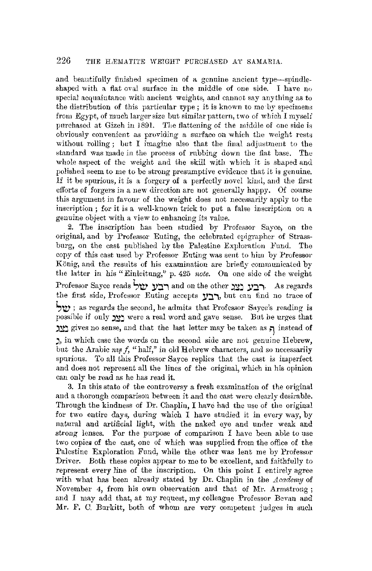and beautifully finished specimen of a genuine ancient type-spindleshaped with a flat oval surface in the middle of one side. I have no special acquaintance with ancient weights, and cannot say anything as to the distribution of this particular type; it is known to me by specimens from Egypt, of much larger size but similar pattern, two of which I myself purchased at Gizeh in 1891. The flattening of the middle of one side is obviously convenient as providing a surface on which the weight rests without rolling; but I imagine also that the final adjustment to the standard was made in the process of rubbing down the flat base. The whole aspect of the weight and the skill with which it is shaped and polished seem to me to be strong presumptive evidence that it is genuine. If it be spurious, it is a forgery of a perfectly novel kind, and the first efforts of forgers in a new direction are not generally happy. Of course this argument in favour of the weight does not necessarily apply to the inscription ; for it is a well-known trick to put a false inscription on a genuine object with a view to enhancing ifa value.

2. The inscription has been studied by Professor Sayce, on the original, and by Professor Euting, the celebrated epigrapher of Strassburg, on the cast published by the Palestine Exploration Fund. The copy of this cast used by Professor Euting was sent to him by Professor König, and the results of his examination are briefly communicated by the latter in his "Einleitung," p. 425 *note.* On one side of the weight Professor Sayce reads **L;,'\V' l)':11** and on the other **:)::tj y:i1.** As regards the first side, Professor Euting accepts **\_lit:,,-,,** but can find no trace of **~'W'** ; as regards the second, he admits that Professor Sayce's reading is possible if only **Ji were a real word and gave sense.** But he urges that <u>יצו</u> gives no sense, and that the last letter may be taken as  $\eta$  instead of ;), in which case the words on the second side are not genuine Hebrew, but the Arabic nis f, "half," in old Hebrew characters, and so necessarily spurious. To all this Professor Sayce replies that the cast is imperfect

and does not represent all the lines of the original, which **in** his opinion

can only be read as he has read it. 3. In this state of the controversy a fresh examination of the original and a thorough comparison between it and the cast were clearly desirable. Through the kindness of Dr. Chaplin, I have had the use of the original for two entire days, during which I have studied it in every way, by natural and artificial light, with the naked eye and under weak and strong lenses. For the purpose of comparison I have been able to use two copies of the cast, one of which was supplied from the office of the Palestine Exploration Fund, while the other was lent me by Professor Driver. Both these copies appear to me to be excellent, and faithfully to represent every line of the inscription. On this point I entirely agree with what has been already stated by Dr. Chaplin in the *Academy* of November 4, from his own observation and that of Mr. Armstrong; and I may add that, at my request, my colleague Professor Bevan and Mr. F. 0. Burkitt, both of whom are very competent judges in such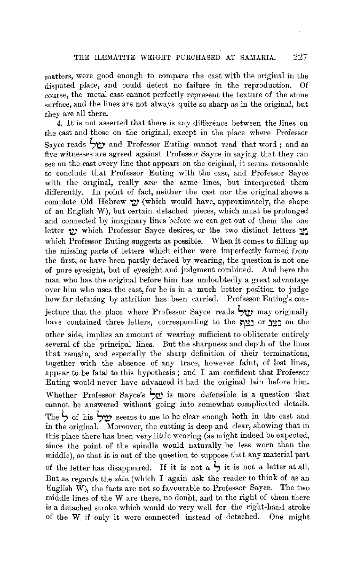matters, were good enough to compare the cast with the original iu the disputed place, and could detect no failure in the reproduction. Of course, the metal cast cannot perfectly represent the texture of the stone surface, and the lines are not always quite so sharp as in the original, but they are all there.

4. It is not asserted that there is any difference between the lines on the cast and those on the original, except in the place where Professor Sayce reads  $\frac{1}{2}$  and Professor Euting cannot read that word; and as five witnesses are agreed against Professor Sayce in saying that they can see on the cast every line that appears on the original, it seems reasonable to conclude that Professor Euting with the cast, and Professor Sayce with the original, really *saw* the same lines, but interpreted them differently. In point of fact, neither the cast nor the original shows a complete Old Hebrew **'tV'** (which would have, approximately, the shape of an English W), but certain detached pieces, which must be prolonged and connected by imaginary lines before we can get out of them the one letter **\'**) which Professor Sayce desires, or the two distinct letters  $\mathbf{y}$ . which Professor Euting suggests as possible. When it comes to filling up the missing parts of letters which either were imperfectly formed from the first, or have been partly defaced by wearing, the question is not one of pme eyesight, but of eyesight and judgment combined. And here the man who has the original before him has undoubtedly a great advantage over him who uses the cast, for he is in a much better position to judge how far defacing by attrition has been carried. Professor Euting's conjecture that the place where Professor Sayce reads **l,w** may originaily have contained three letters, corresponding to the "צֵוֹת or : other side, implies an amount of wearing sufficient to obliterate entirely several of the principal lines. But the sharpness and depth of the lines that remain, and especially the sharp definition of their terminations, together with the absence of any trace, however faint, of lost lines, appear to be fatal to this hypothesis ; and I am confident that Professor Euting would never have advanced it had the original lain before him. Whether Professor Sayce's **1,u,** is more defensible is a question that cannot be answered without going into somewhat complicated details. The  $\frac{1}{2}$  of his  $\frac{1}{2}$  seems to me to be clear enough both in the cast and in the original. Moreover, the cutting is deep and clear, showing that in this place there has been very little wearing (as might indeed be expected, since the point of the spindle would uaturally be less worn than the middle), so that it is out of the question to suppose that any material part of the letter has disappeared. If it is not a  $\frac{1}{2}$  it is not a letter at all. But as regards the *shin* (which I again ask the reader to think of as an English **W),** the facts are not so favourable to Professor Sayce. The two middle lines of the **W** are there, no doubt, and to the right of them there is a detached stroke which would do very well for the right-hand stroke of the W. if ouly it were connected instead of detached. One might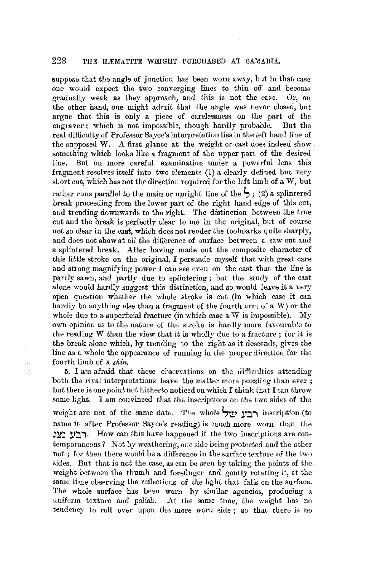suppose that the angle of junction has been worn away, but in that case one would expect the two converging lines to thin off and become gradually weak as they approach, and this is not the case. Or, on the other hand, one might admit that the angle was never closed, bnt argue that this is only a piece of carelessness on the part of the engraver: which is not impossible, though hardly probable. But the engraver; which is not impossible, though hardly probable. real difficulty of Professor Sayce's interpretation lies in tbe left hand line of the supposed W. A first glance at the weight or cast does indeed show something which looks like a fragment of the upper part of the desired line. But on more careful examination under a powerful lens this fragment resolves itself into two elements (1) a clearly defined but very short cut, which has uot the direction required for the left limb of a W, but rather runs parallel to the main or upright line of the  $\frac{1}{2}$ ; (2) a splintered break proceeding from the lower part of the right hand edge of this cut, and trending downwards to the right. The distinction between the true cut and the break is perfectly clear to me in the original, but of course not so clear in the cast, which does not render the toolmarks quite sharply, and does not show at all the difference of surface between a saw cut and a splintered break. After having made out the composite character of this little stroke on the original, I persuade myself that with great care and strong magnifying power I can see even on the cast that the line is partly sawn, and partly due to splintering; but the study of the cast alone would hardly suggest this distinction, and so would leave it a very open question whether the whole stroke is cut (in which case it can hardly be anything else than a fragment of the fourth arm of a W) or the whole due to a superficial fracture (in which case a  $W$  is impossible). My own opinion as to the nature of the stroke is hardly more favourable to the reading W than the view that it is wholly due to a fracture; for it is the break alone which, by trending to the right as it descends, gives the line as a whole the appearance of running in the proper direction for the fourth limb of a *shin.* 

5. I am afraid that these observations on the difficulties attending both the rival interpretations leave the matter more puzzling than ever ; but there is one point not hitherto noticed on which I think that *I* can throw some light. I am convinced that the inscriptions on the two sides of the weight are not of the same date. The whole **'לְגֵי יְעֵיל** inscription (to name it after Professor Sayce's reading) is much more worn than the **;i~~ l,t:ri-** Row can this have happened if the two inscriptions are contemporaneous? Not by weathering, one side being protected and the other not ; for then there would be a difference in the surface texture of the two sides. But that is not the case, as can be seen by taking the points of the weight between the thumb and forefinger and gently rotating it, at the same time observing the reflections of the light that falls on the surface. The whole surface has been worn by similar agencies, producing a uniform texture and polish. At the same time, the weight has no tendency to roll over upon the more worn side; so that there is no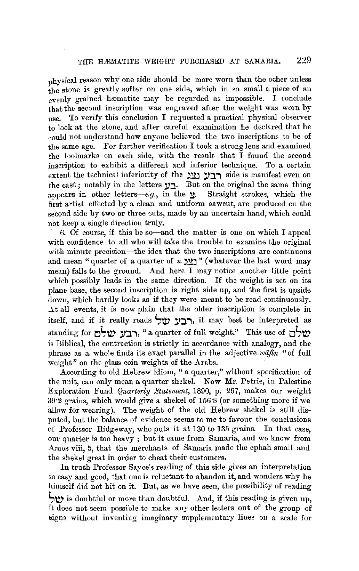physical reason why' one side should be more worn than the other unless the stone is greatly softer on one side, which in so small a piece of an evenly grained hæmatite may be regarded as impossible. I conclude that the second inscription was engraved after the weight was worn by use. To verify this conclusion I requested a practicnl physicai observer to look at the stone, and after careful examination he declared that he could not understand how anyone believed the two inscriptions to be of the same age. For further verification I took a strong lens and examined the toolmarks on each side, with the result that I found the second inscription to exhibit a different and inferior technique. To a certain extent the technical inferiority of the רבע נצג **ואון side is manifest even on** the cast; notably in the letters  $\Box$ . But on the original the same thing appears in other letters—*e.g.*, in the  $\Diamond$ . Straight strokes, which the appears in other letters-e.g., in the  $\ddot{x}$ . first artist effected by a clean and uniform sawcut, are produced on the second side by two or three cuts, made by an uncertain hand, which could not keep a single direction truly.

6. Of course, if this be so-and the matter is one on which I appeal with confidence to all who will take the trouble to examine the original with minute precision—the idea that the two inscriptions are continuous and mean "quarter of a quarter of a "לצב" (whatever the last word may mean) falls to the ground. Aud here I may notice another little point which possibly leads in the same direction. If the weight is set on its plane base, the second inscription is right side up, and the first is upside down, which hardly looks as if they were meant to be read continuously. At all events, it is now plain that the older inscription is complete in itself, and if it really reads **רבע** עול, it may best be interpreted as standing for **t:)1,\V' ,l,i:J."1,** " a quarter of full weight." This use of **o½\V'**  is Biblical, the contraction is strictly in accordance with analogy, and the phrase as a whole finds its exact parallel in the adjective *wafin* "of full weight" on the glass coin weights of the Arabs.

According to old Hebrew idiom, "a quarter," without specification of the unit, can only mean a quarter shekel. Now Mr. Petrie, in Palestine Exploration Fund *Quarterly Statement*, 1890, p. 267, makes our weight 39·2 grains, which would give a shekel of 156·8 (or something more if we allow for wearing). The weight of the old Hebrew shekel is still disputed, but the balance of evidence seems to me to favour the conclusions of Professor Ridgeway, who puts it at 130 to 135 grains. In that case, our quarter is too heavy ; but it came from Samaria, and we know from Amos viii, 5, that the merchants of Samaria made the ephah small and the shekel great in order to cheat their customers.

In truth Professor Sayce's reading of this side gives an interpretation so easy and good, that one is reluctant to abandon it, and wonders why he himself did not hit on it. But, as we have seen, the possibility of reading is doubtful or more than doubtful. And, if this reading is given up, it does not seem possible to make any other letters out of the group of signs without inventing imaginary supplementary lines on a scale for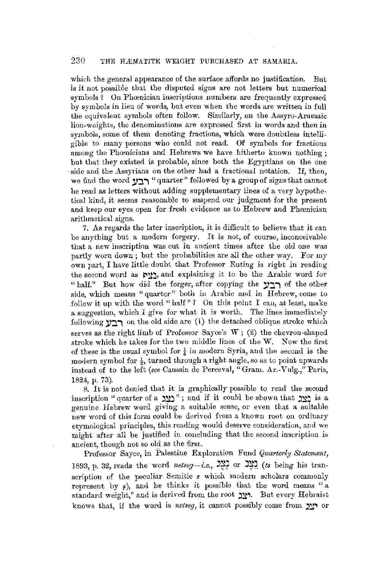which the general appearance of the surface affords no justification. But is it not possible that the disputed signs are not letters but numerical symbols ? On Phoenician inscriptions numbers are frequently expressed by symbols in lieu of words, but even when the words are written in full the equivalent symbols often follow. Similarly, on the Assyro-Aramaic lion-weights, the denominations are expressed first in words and then in symbols, some of them denoting fractions, which were doubtless intelligible to many persons who could not read. Of symbols for fractions among the Phoenicians and Hebrews we have hitherto known nothing; but tliat they existed is probable, since both the Egyptians on the one side and the Assyrians on the other had a fractional notation. If, then, we find the word **yri "quarter"** followed by a group of signs that cannot be read as letters without adding supplementary lines of a very hypothetical kind, it seems reasonable to suspend our judgment for the present and keep our eyes open for fresh evidence as to Hebrew and Phœnician arithmetical signs.

7. As regards the later inscription, it is difficult to believe that it can be anything but a modern forgery. It is not, of course, inconceivable that a new inscription was cut in ancient times after the old one was partly worn down ; but the probabilities are all the other way. For my own part, I have little doubt that Professor Euting is right in reading the second word as  $\frac{1}{2}$ ; and explaining it to be the Arabic word for "half." But how did the forger, after copying the **y:i,-,** of the other side, which means "quarter" both in Arabic and in Hebrew, come to follow it up with the word "half"? On this point I can, at least, make a. suggestion, which I give for what it is worth. The lines immediately following **yn** on the old side are (1) the detached oblique stroke which serves as the right limb of Professor Sayce's  $W$ ; (2) the chevron-shaped stroke which he takes for the two middle lines of the W. Now the first of these is the usual symbol for  $\frac{1}{4}$  in modern Syria, and the second is the modern symbol for  $\frac{1}{2}$ , turned through a right angle, so as to point upwards instead of to the left *(see* Caussin de Perceval, "Gram. Ar.-Vulg.," Paris, 1824, p. 73).

8. It is not denied that it is graphically possible to read the second inscription "quarter of a  $'Y$ "; and if it could be shown that  $'Y$  is a genuine Hebrew word giving a suitable sense, or even that a suitable new word of this form could be derived from a known root on ordinary etymological principles, this reading would deserve consideration, and we might after all be justified in concluding that the second inscription is ancient, though not so old as the first.

Professor Sayce, in Palestine Exploration Fuud *Quarterly Statement,*  1893, p. 32, reads the word *netseg-i.e.*,  $\sum_{i=1}^{N}$  or  $\sum_{i=1}^{N}$  (ts being his transcription of the peculiar Semitic *s* which modern scholars commonly represent by  $s$ ), and he thinks it possible that the word means "a standard weight," and is derived from the root  $\mathbf{y}$ . But every Hebraist knows that, if the word is *netseg*, it cannot possibly come from **you** or